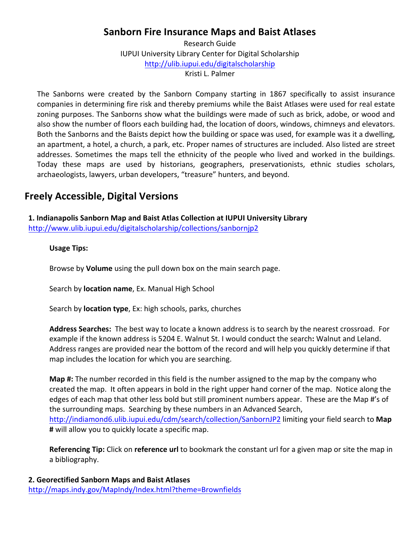## **Sanborn Fire Insurance Maps and Baist Atlases**

Research Guide **IUPUI University Library Center for Digital Scholarship** http://ulib.iupui.edu/digitalscholarship Kristi L. Palmer

The Sanborns were created by the Sanborn Company starting in 1867 specifically to assist insurance companies in determining fire risk and thereby premiums while the Baist Atlases were used for real estate zoning purposes. The Sanborns show what the buildings were made of such as brick, adobe, or wood and also show the number of floors each building had, the location of doors, windows, chimneys and elevators. Both the Sanborns and the Baists depict how the building or space was used, for example was it a dwelling, an apartment, a hotel, a church, a park, etc. Proper names of structures are included. Also listed are street addresses. Sometimes the maps tell the ethnicity of the people who lived and worked in the buildings. Today these maps are used by historians, geographers, preservationists, ethnic studies scholars, archaeologists, lawyers, urban developers, "treasure" hunters, and beyond.

## **Freely Accessible, Digital Versions**

 **1. Indianapolis Sanborn Map and Baist Atlas Collection at IUPUI University Library** http://www.ulib.iupui.edu/digitalscholarship/collections/sanbornjp2

#### **Usage Tips:**

Browse by **Volume** using the pull down box on the main search page.

Search by **location name**, Ex. Manual High School

Search by **location type**, Ex: high schools, parks, churches

Address Searches: The best way to locate a known address is to search by the nearest crossroad. For example if the known address is 5204 E. Walnut St. I would conduct the search: Walnut and Leland. Address ranges are provided near the bottom of the record and will help you quickly determine if that map includes the location for which you are searching.

**Map #:** The number recorded in this field is the number assigned to the map by the company who created the map. It often appears in bold in the right upper hand corner of the map. Notice along the edges of each map that other less bold but still prominent numbers appear. These are the Map #'s of the surrounding maps. Searching by these numbers in an Advanced Search, http://indiamond6.ulib.iupui.edu/cdm/search/collection/SanbornJP2 limiting your field search to Map **#** will allow you to quickly locate a specific map.

**Referencing Tip:** Click on reference url to bookmark the constant url for a given map or site the map in a bibliography.

**2. Georectified Sanborn Maps and Baist Atlases** http://maps.indy.gov/MapIndy/Index.html?theme=Brownfields